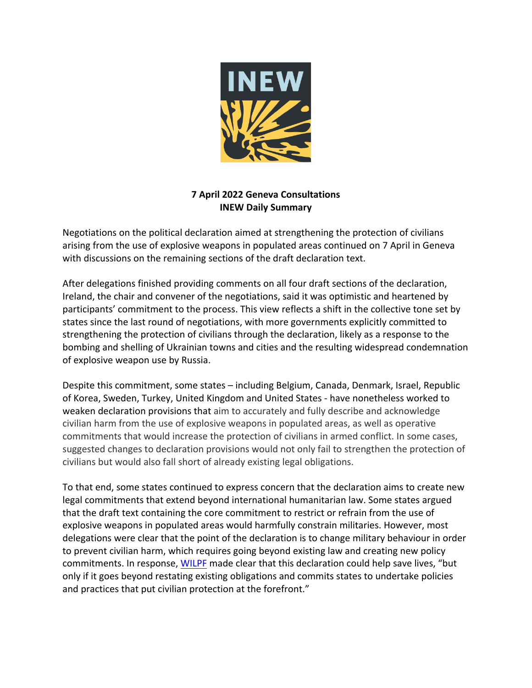

## **7 April 2022 Geneva Consultations INEW Daily Summary**

Negotiations on the political declaration aimed at strengthening the protection of civilians arising from the use of explosive weapons in populated areas continued on 7 April in Geneva with discussions on the remaining sections of the draft declaration text.

After delegations finished providing comments on all four draft sections of the declaration, Ireland, the chair and convener of the negotiations, said it was optimistic and heartened by participants' commitment to the process. This view reflects a shift in the collective tone set by states since the last round of negotiations, with more governments explicitly committed to strengthening the protection of civilians through the declaration, likely as a response to the bombing and shelling of Ukrainian towns and cities and the resulting widespread condemnation of explosive weapon use by Russia.

Despite this commitment, some states – including Belgium, Canada, Denmark, Israel, Republic of Korea, Sweden, Turkey, United Kingdom and United States - have nonetheless worked to weaken declaration provisions that aim to accurately and fully describe and acknowledge civilian harm from the use of explosive weapons in populated areas, as well as operative commitments that would increase the protection of civilians in armed conflict. In some cases, suggested changes to declaration provisions would not only fail to strengthen the protection of civilians but would also fall short of already existing legal obligations.

To that end, some states continued to express concern that the declaration aims to create new legal commitments that extend beyond international humanitarian law. Some states argued that the draft text containing the core commitment to restrict or refrain from the use of explosive weapons in populated areas would harmfully constrain militaries. However, most delegations were clear that the point of the declaration is to change military behaviour in order to prevent civilian harm, which requires going beyond existing law and creating new policy commitments. In response, WILPF made clear that this declaration could help save lives, "but only if it goes beyond restating existing obligations and commits states to undertake policies and practices that put civilian protection at the forefront."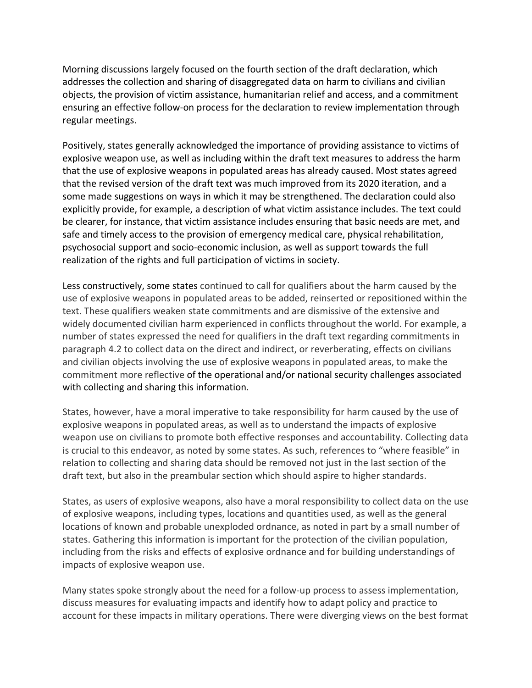Morning discussions largely focused on the fourth section of the draft declaration, which addresses the collection and sharing of disaggregated data on harm to civilians and civilian objects, the provision of victim assistance, humanitarian relief and access, and a commitment ensuring an effective follow-on process for the declaration to review implementation through regular meetings.

Positively, states generally acknowledged the importance of providing assistance to victims of explosive weapon use, as well as including within the draft text measures to address the harm that the use of explosive weapons in populated areas has already caused. Most states agreed that the revised version of the draft text was much improved from its 2020 iteration, and a some made suggestions on ways in which it may be strengthened. The declaration could also explicitly provide, for example, a description of what victim assistance includes. The text could be clearer, for instance, that victim assistance includes ensuring that basic needs are met, and safe and timely access to the provision of emergency medical care, physical rehabilitation, psychosocial support and socio-economic inclusion, as well as support towards the full realization of the rights and full participation of victims in society.

Less constructively, some states continued to call for qualifiers about the harm caused by the use of explosive weapons in populated areas to be added, reinserted or repositioned within the text. These qualifiers weaken state commitments and are dismissive of the extensive and widely documented civilian harm experienced in conflicts throughout the world. For example, a number of states expressed the need for qualifiers in the draft text regarding commitments in paragraph 4.2 to collect data on the direct and indirect, or reverberating, effects on civilians and civilian objects involving the use of explosive weapons in populated areas, to make the commitment more reflective of the operational and/or national security challenges associated with collecting and sharing this information.

States, however, have a moral imperative to take responsibility for harm caused by the use of explosive weapons in populated areas, as well as to understand the impacts of explosive weapon use on civilians to promote both effective responses and accountability. Collecting data is crucial to this endeavor, as noted by some states. As such, references to "where feasible" in relation to collecting and sharing data should be removed not just in the last section of the draft text, but also in the preambular section which should aspire to higher standards.

States, as users of explosive weapons, also have a moral responsibility to collect data on the use of explosive weapons, including types, locations and quantities used, as well as the general locations of known and probable unexploded ordnance, as noted in part by a small number of states. Gathering this information is important for the protection of the civilian population, including from the risks and effects of explosive ordnance and for building understandings of impacts of explosive weapon use.

Many states spoke strongly about the need for a follow-up process to assess implementation, discuss measures for evaluating impacts and identify how to adapt policy and practice to account for these impacts in military operations. There were diverging views on the best format